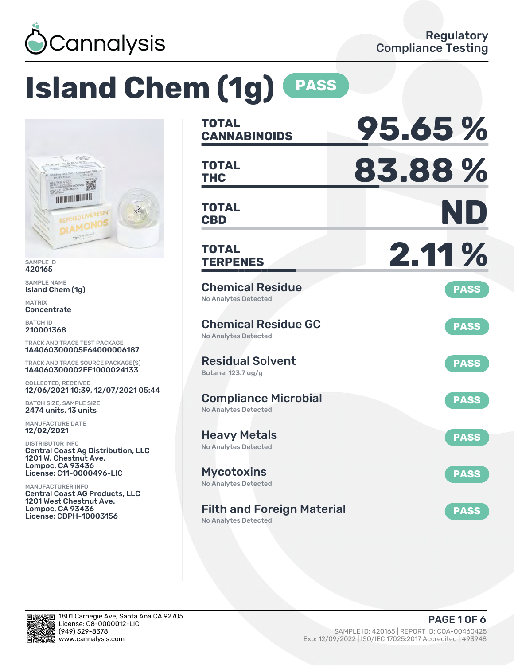

# **Island Chem (1g) PASS**



SAMPLE ID 420165

SAMPLE NAME Island Chem (1g)

MATRIX **Concentrate** 

BATCH ID 210001368

TRACK AND TRACE TEST PACKAGE 1A4060300005F64000006187

TRACK AND TRACE SOURCE PACKAGE(S) 1A4060300002EE1000024133

COLLECTED, RECEIVED 12/06/2021 10:39, 12/07/2021 05:44

BATCH SIZE, SAMPLE SIZE 2474 units, 13 units

MANUFACTURE DATE 12/02/2021

DISTRIBUTOR INFO Central Coast Ag Distribution, LLC 1201 W. Chestnut Ave. Lompoc, CA 93436 License: C11-0000496-LIC

MANUFACTURER INFO Central Coast AG Products, LLC 1201 West Chestnut Ave. Lompoc, CA 93436 License: CDPH-10003156

| <b>TOTAL</b><br><b>CANNABINOIDS</b>                        | 95.65%      |
|------------------------------------------------------------|-------------|
| <b>TOTAL</b><br><b>THC</b>                                 | 83.88%      |
| TOTAL<br><b>CBD</b>                                        | ND          |
| <b>TOTAL</b><br><b>TERPENES</b>                            | 2.11 %      |
| <b>Chemical Residue</b><br>No Analytes Detected            | <b>PASS</b> |
| <b>Chemical Residue GC</b><br><b>No Analytes Detected</b>  | <b>PASS</b> |
| <b>Residual Solvent</b><br>Butane: 123.7 ug/g              | <b>PASS</b> |
| <b>Compliance Microbial</b><br><b>No Analytes Detected</b> | <b>PASS</b> |
| <b>Heavy Metals</b><br><b>No Analytes Detected</b>         | <b>PASS</b> |
| <b>Mycotoxins</b><br>No Analytes Detected                  | <b>PASS</b> |
| <b>Filth and Foreign Material</b>                          | <b>PASS</b> |

No Analytes Detected

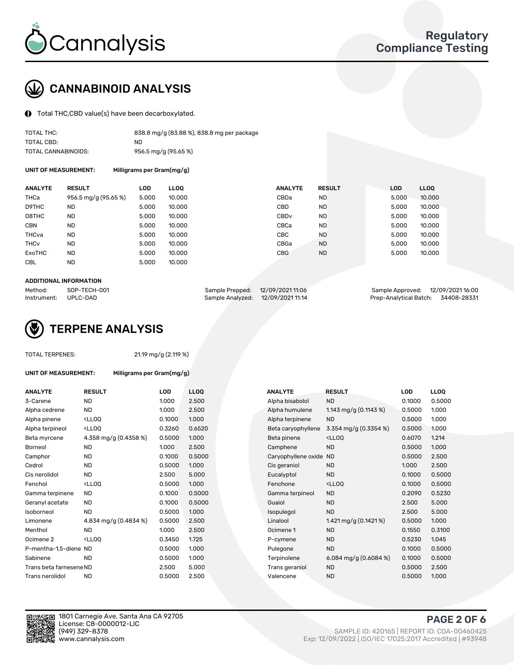

# CANNABINOID ANALYSIS

Total THC,CBD value(s) have been decarboxylated.

| TOTAL THC:          | 838.8 mg/g (83.88%), 838.8 mg per package |
|---------------------|-------------------------------------------|
| TOTAL CBD:          | ND                                        |
| TOTAL CANNABINOIDS: | 956.5 mg/g (95.65 %)                      |

UNIT OF MEASUREMENT: Milligrams per Gram(mg/g)

| <b>ANALYTE</b>         | <b>RESULT</b>        | <b>LOD</b> | <b>LLOO</b> | <b>ANALYTE</b>   | <b>RESULT</b> | <b>LOD</b> | <b>LLOO</b> |
|------------------------|----------------------|------------|-------------|------------------|---------------|------------|-------------|
| THCa                   | 956.5 mg/g (95.65 %) | 5.000      | 10.000      | CBDa             | <b>ND</b>     | 5.000      | 10.000      |
| D9THC                  | <b>ND</b>            | 5.000      | 10.000      | CBD              | <b>ND</b>     | 5.000      | 10.000      |
| D8THC                  | <b>ND</b>            | 5.000      | 10.000      | CBD <sub>v</sub> | <b>ND</b>     | 5.000      | 10.000      |
| <b>CBN</b>             | <b>ND</b>            | 5.000      | 10.000      | CBCa             | <b>ND</b>     | 5.000      | 10.000      |
| THCva                  | <b>ND</b>            | 5.000      | 10.000      | <b>CBC</b>       | <b>ND</b>     | 5.000      | 10.000      |
| <b>THC<sub>v</sub></b> | <b>ND</b>            | 5.000      | 10.000      | CBGa             | <b>ND</b>     | 5.000      | 10.000      |
| ExoTHC                 | <b>ND</b>            | 5.000      | 10.000      | <b>CBG</b>       | <b>ND</b>     | 5.000      | 10.000      |
| <b>CBL</b>             | <b>ND</b>            | 5.000      | 10.000      |                  |               |            |             |

#### ADDITIONAL INFORMATION

| Method:              | SOP-TECH-001 | Sample Prepped: 12/09/2021 11:06  | Sample Approved: 12/09/2021 16:00  |  |
|----------------------|--------------|-----------------------------------|------------------------------------|--|
| Instrument: UPLC-DAD |              | Sample Analyzed: 12/09/2021 11:14 | Prep-Analytical Batch: 34408-28331 |  |



21.19 mg/g (2.119 %)

| Milligrams per Gram(mg/g)<br>UNIT OF MEASUREMENT: |  |
|---------------------------------------------------|--|
|---------------------------------------------------|--|

| <b>ANALYTE</b>          | <b>RESULT</b>                                                                                                                             | <b>LOD</b> | <b>LLOQ</b> | <b>ANALYTE</b>         | <b>RESULT</b>                                       | LOD    | <b>LLOQ</b> |
|-------------------------|-------------------------------------------------------------------------------------------------------------------------------------------|------------|-------------|------------------------|-----------------------------------------------------|--------|-------------|
| 3-Carene                | ND.                                                                                                                                       | 1.000      | 2.500       | Alpha bisabolol        | <b>ND</b>                                           | 0.1000 | 0.5000      |
| Alpha cedrene           | ND.                                                                                                                                       | 1.000      | 2.500       | Alpha humulene         | 1.143 mg/g $(0.1143 \%)$                            | 0.5000 | 1.000       |
| Alpha pinene            | <lloq< td=""><td>0.1000</td><td>1.000</td><td>Alpha terpinene</td><td><b>ND</b></td><td>0.5000</td><td>1.000</td></lloq<>                 | 0.1000     | 1.000       | Alpha terpinene        | <b>ND</b>                                           | 0.5000 | 1.000       |
| Alpha terpineol         | <lloq< td=""><td>0.3260</td><td>0.6520</td><td>Beta caryophyllene</td><td>3.354 mg/g (0.3354 %)</td><td>0.5000</td><td>1.000</td></lloq<> | 0.3260     | 0.6520      | Beta caryophyllene     | 3.354 mg/g (0.3354 %)                               | 0.5000 | 1.000       |
| Beta myrcene            | 4.358 mg/g (0.4358 %)                                                                                                                     | 0.5000     | 1.000       | Beta pinene            | <ll0q< td=""><td>0.6070</td><td>1.214</td></ll0q<>  | 0.6070 | 1.214       |
| Borneol                 | ND.                                                                                                                                       | 1.000      | 2.500       | Camphene               | <b>ND</b>                                           | 0.5000 | 1.000       |
| Camphor                 | <b>ND</b>                                                                                                                                 | 0.1000     | 0.5000      | Caryophyllene oxide ND |                                                     | 0.5000 | 2.500       |
| Cedrol                  | ND.                                                                                                                                       | 0.5000     | 1.000       | Cis geraniol           | <b>ND</b>                                           | 1.000  | 2.500       |
| Cis nerolidol           | <b>ND</b>                                                                                                                                 | 2.500      | 5.000       | Eucalyptol             | <b>ND</b>                                           | 0.1000 | 0.5000      |
| Fenchol                 | <lloq< td=""><td>0.5000</td><td>1.000</td><td>Fenchone</td><td><ll0q< td=""><td>0.1000</td><td>0.5000</td></ll0q<></td></lloq<>           | 0.5000     | 1.000       | Fenchone               | <ll0q< td=""><td>0.1000</td><td>0.5000</td></ll0q<> | 0.1000 | 0.5000      |
| Gamma terpinene         | ND.                                                                                                                                       | 0.1000     | 0.5000      | Gamma terpineol        | <b>ND</b>                                           | 0.2090 | 0.5230      |
| Geranyl acetate         | <b>ND</b>                                                                                                                                 | 0.1000     | 0.5000      | Guaiol                 | <b>ND</b>                                           | 2.500  | 5.000       |
| Isoborneol              | <b>ND</b>                                                                                                                                 | 0.5000     | 1.000       | Isopulegol             | <b>ND</b>                                           | 2.500  | 5.000       |
| Limonene                | 4.834 mg/g (0.4834 %)                                                                                                                     | 0.5000     | 2.500       | Linalool               | 1.421 mg/g $(0.1421\%)$                             | 0.5000 | 1.000       |
| Menthol                 | ND.                                                                                                                                       | 1.000      | 2.500       | Ocimene 1              | <b>ND</b>                                           | 0.1550 | 0.3100      |
| Ocimene 2               | <lloq< td=""><td>0.3450</td><td>1.725</td><td>P-cymene</td><td><b>ND</b></td><td>0.5230</td><td>1.045</td></lloq<>                        | 0.3450     | 1.725       | P-cymene               | <b>ND</b>                                           | 0.5230 | 1.045       |
| P-mentha-1,5-diene ND   |                                                                                                                                           | 0.5000     | 1.000       | Pulegone               | <b>ND</b>                                           | 0.1000 | 0.5000      |
| Sabinene                | <b>ND</b>                                                                                                                                 | 0.5000     | 1.000       | Terpinolene            | 6.084 mg/g $(0.6084\%)$                             | 0.1000 | 0.5000      |
| Trans beta farnesene ND |                                                                                                                                           | 2.500      | 5.000       | Trans geraniol         | <b>ND</b>                                           | 0.5000 | 2.500       |
| Trans nerolidol         | <b>ND</b>                                                                                                                                 | 0.5000     | 2.500       | Valencene              | <b>ND</b>                                           | 0.5000 | 1.000       |

| ANALYTE             | <b>RESULT</b>                                       | LOD    | LLOO   |
|---------------------|-----------------------------------------------------|--------|--------|
| Alpha bisabolol     | <b>ND</b>                                           | 0.1000 | 0.5000 |
| Alpha humulene      | 1.143 mg/g $(0.1143 \%)$                            | 0.5000 | 1.000  |
| Alpha terpinene     | <b>ND</b>                                           | 0.5000 | 1.000  |
| Beta caryophyllene  | 3.354 mg/g $(0.3354\%)$                             | 0.5000 | 1.000  |
| Beta pinene         | <lloq< td=""><td>0.6070</td><td>1.214</td></lloq<>  | 0.6070 | 1.214  |
| Camphene            | <b>ND</b>                                           | 0.5000 | 1.000  |
| Caryophyllene oxide | <b>ND</b>                                           | 0.5000 | 2.500  |
| Cis geraniol        | <b>ND</b>                                           | 1.000  | 2.500  |
| Eucalyptol          | <b>ND</b>                                           | 0.1000 | 0.5000 |
| Fenchone            | <lloq< td=""><td>0.1000</td><td>0.5000</td></lloq<> | 0.1000 | 0.5000 |
| Gamma terpineol     | <b>ND</b>                                           | 0.2090 | 0.5230 |
| Guaiol              | <b>ND</b>                                           | 2.500  | 5.000  |
| Isopulegol          | <b>ND</b>                                           | 2.500  | 5.000  |
| Linalool            | 1.421 mg/g $(0.1421\%)$                             | 0.5000 | 1.000  |
| Ocimene 1           | <b>ND</b>                                           | 0.1550 | 0.3100 |
| P-cymene            | <b>ND</b>                                           | 0.5230 | 1.045  |
| Pulegone            | <b>ND</b>                                           | 0.1000 | 0.5000 |
| Terpinolene         | 6.084 mg/g (0.6084 %)                               | 0.1000 | 0.5000 |
| Trans geraniol      | ND.                                                 | 0.5000 | 2.500  |
| Valencene           | <b>ND</b>                                           | 0.5000 | 1.000  |



1801 Carnegie Ave, Santa Ana CA 92705 License: C8-0000012-LIC<br>(949) 329-8378

PAGE 2 OF 6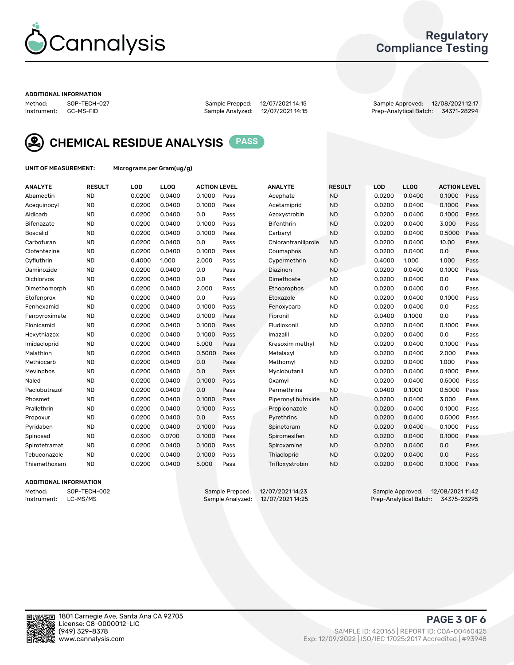

## Regulatory Compliance Testing

#### ADDITIONAL INFORMATION

Method: SOP-TECH-027 Sample Prepped: 12/07/2021 14:15 Sample Approved: 12/08/2021 12:17 Prep-Analytical Batch: 34371-28294



CHEMICAL RESIDUE ANALYSIS PASS

UNIT OF MEASUREMENT: Micrograms per Gram(ug/g)

| <b>ANALYTE</b>    | <b>RESULT</b> | LOD    | LL <sub>OO</sub> | <b>ACTION LEVEL</b> |      | <b>ANALYTE</b>      | <b>RESULT</b> | LOD    | <b>LLOQ</b> | <b>ACTION LEVEL</b> |      |
|-------------------|---------------|--------|------------------|---------------------|------|---------------------|---------------|--------|-------------|---------------------|------|
| Abamectin         | <b>ND</b>     | 0.0200 | 0.0400           | 0.1000              | Pass | Acephate            | <b>ND</b>     | 0.0200 | 0.0400      | 0.1000              | Pass |
| Acequinocyl       | <b>ND</b>     | 0.0200 | 0.0400           | 0.1000              | Pass | Acetamiprid         | <b>ND</b>     | 0.0200 | 0.0400      | 0.1000              | Pass |
| Aldicarb          | <b>ND</b>     | 0.0200 | 0.0400           | 0.0                 | Pass | Azoxystrobin        | <b>ND</b>     | 0.0200 | 0.0400      | 0.1000              | Pass |
| Bifenazate        | <b>ND</b>     | 0.0200 | 0.0400           | 0.1000              | Pass | <b>Bifenthrin</b>   | <b>ND</b>     | 0.0200 | 0.0400      | 3.000               | Pass |
| <b>Boscalid</b>   | <b>ND</b>     | 0.0200 | 0.0400           | 0.1000              | Pass | Carbaryl            | <b>ND</b>     | 0.0200 | 0.0400      | 0.5000              | Pass |
| Carbofuran        | <b>ND</b>     | 0.0200 | 0.0400           | 0.0                 | Pass | Chlorantraniliprole | <b>ND</b>     | 0.0200 | 0.0400      | 10.00               | Pass |
| Clofentezine      | <b>ND</b>     | 0.0200 | 0.0400           | 0.1000              | Pass | Coumaphos           | <b>ND</b>     | 0.0200 | 0.0400      | 0.0                 | Pass |
| Cyfluthrin        | <b>ND</b>     | 0.4000 | 1.000            | 2.000               | Pass | Cypermethrin        | <b>ND</b>     | 0.4000 | 1.000       | 1.000               | Pass |
| Daminozide        | <b>ND</b>     | 0.0200 | 0.0400           | 0.0                 | Pass | Diazinon            | <b>ND</b>     | 0.0200 | 0.0400      | 0.1000              | Pass |
| <b>Dichlorvos</b> | <b>ND</b>     | 0.0200 | 0.0400           | 0.0                 | Pass | Dimethoate          | <b>ND</b>     | 0.0200 | 0.0400      | 0.0                 | Pass |
| Dimethomorph      | <b>ND</b>     | 0.0200 | 0.0400           | 2.000               | Pass | Ethoprophos         | <b>ND</b>     | 0.0200 | 0.0400      | 0.0                 | Pass |
| Etofenprox        | <b>ND</b>     | 0.0200 | 0.0400           | 0.0                 | Pass | Etoxazole           | <b>ND</b>     | 0.0200 | 0.0400      | 0.1000              | Pass |
| Fenhexamid        | <b>ND</b>     | 0.0200 | 0.0400           | 0.1000              | Pass | Fenoxycarb          | <b>ND</b>     | 0.0200 | 0.0400      | 0.0                 | Pass |
| Fenpyroximate     | <b>ND</b>     | 0.0200 | 0.0400           | 0.1000              | Pass | Fipronil            | <b>ND</b>     | 0.0400 | 0.1000      | 0.0                 | Pass |
| Flonicamid        | <b>ND</b>     | 0.0200 | 0.0400           | 0.1000              | Pass | Fludioxonil         | <b>ND</b>     | 0.0200 | 0.0400      | 0.1000              | Pass |
| Hexythiazox       | <b>ND</b>     | 0.0200 | 0.0400           | 0.1000              | Pass | Imazalil            | <b>ND</b>     | 0.0200 | 0.0400      | 0.0                 | Pass |
| Imidacloprid      | <b>ND</b>     | 0.0200 | 0.0400           | 5.000               | Pass | Kresoxim methyl     | <b>ND</b>     | 0.0200 | 0.0400      | 0.1000              | Pass |
| Malathion         | <b>ND</b>     | 0.0200 | 0.0400           | 0.5000              | Pass | Metalaxyl           | <b>ND</b>     | 0.0200 | 0.0400      | 2.000               | Pass |
| Methiocarb        | <b>ND</b>     | 0.0200 | 0.0400           | 0.0                 | Pass | Methomyl            | <b>ND</b>     | 0.0200 | 0.0400      | 1.000               | Pass |
| Mevinphos         | <b>ND</b>     | 0.0200 | 0.0400           | 0.0                 | Pass | Myclobutanil        | <b>ND</b>     | 0.0200 | 0.0400      | 0.1000              | Pass |
| Naled             | <b>ND</b>     | 0.0200 | 0.0400           | 0.1000              | Pass | Oxamyl              | <b>ND</b>     | 0.0200 | 0.0400      | 0.5000              | Pass |
| Paclobutrazol     | <b>ND</b>     | 0.0200 | 0.0400           | 0.0                 | Pass | Permethrins         | <b>ND</b>     | 0.0400 | 0.1000      | 0.5000              | Pass |
| Phosmet           | <b>ND</b>     | 0.0200 | 0.0400           | 0.1000              | Pass | Piperonyl butoxide  | <b>ND</b>     | 0.0200 | 0.0400      | 3.000               | Pass |
| Prallethrin       | <b>ND</b>     | 0.0200 | 0.0400           | 0.1000              | Pass | Propiconazole       | <b>ND</b>     | 0.0200 | 0.0400      | 0.1000              | Pass |
| Propoxur          | <b>ND</b>     | 0.0200 | 0.0400           | 0.0                 | Pass | Pyrethrins          | <b>ND</b>     | 0.0200 | 0.0400      | 0.5000              | Pass |
| Pyridaben         | <b>ND</b>     | 0.0200 | 0.0400           | 0.1000              | Pass | Spinetoram          | <b>ND</b>     | 0.0200 | 0.0400      | 0.1000              | Pass |
| Spinosad          | <b>ND</b>     | 0.0300 | 0.0700           | 0.1000              | Pass | Spiromesifen        | <b>ND</b>     | 0.0200 | 0.0400      | 0.1000              | Pass |
| Spirotetramat     | <b>ND</b>     | 0.0200 | 0.0400           | 0.1000              | Pass | Spiroxamine         | <b>ND</b>     | 0.0200 | 0.0400      | 0.0                 | Pass |
| Tebuconazole      | <b>ND</b>     | 0.0200 | 0.0400           | 0.1000              | Pass | Thiacloprid         | <b>ND</b>     | 0.0200 | 0.0400      | 0.0                 | Pass |
| Thiamethoxam      | <b>ND</b>     | 0.0200 | 0.0400           | 5.000               | Pass | Trifloxystrobin     | <b>ND</b>     | 0.0200 | 0.0400      | 0.1000              | Pass |

### ADDITIONAL INFORMATION

Method: SOP-TECH-002 Sample Prepped: 12/07/202114:23 Sample Approved: 12/08/2021 11:42<br>Instrument: LC-MS/MS Sample Analyzed: 12/07/2021 14:25 Prep-Analytical Batch: 34375-28295 Prep-Analytical Batch: 34375-28295

PAGE 3 OF 6

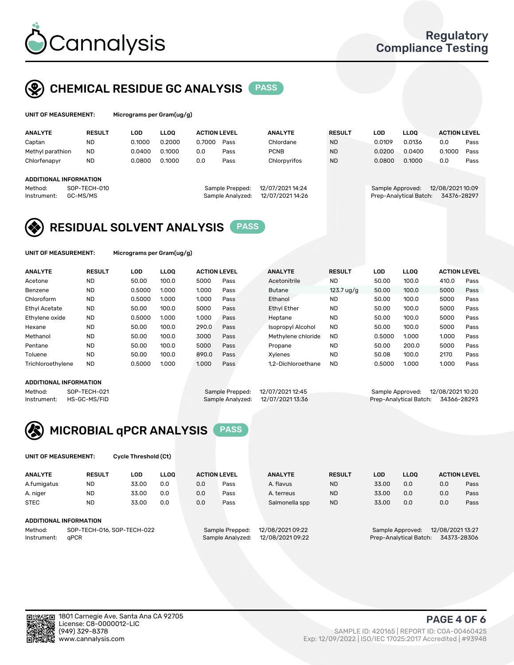

# CHEMICAL RESIDUE GC ANALYSIS PASS

| UNIT OF MEASUREMENT: | Micrograms |
|----------------------|------------|
|                      |            |

ver Gram(ug/g)

| <b>ANALYTE</b>                                          | <b>RESULT</b>            | LOD    | <b>LLOO</b> | <b>ACTION LEVEL</b> |                                     | <b>ANALYTE</b>                       | <b>RESULT</b> | LOD              | <b>LLOO</b>            | <b>ACTION LEVEL</b>             |      |
|---------------------------------------------------------|--------------------------|--------|-------------|---------------------|-------------------------------------|--------------------------------------|---------------|------------------|------------------------|---------------------------------|------|
| Captan                                                  | <b>ND</b>                | 0.1000 | 0.2000      | 0.7000              | Pass                                | Chlordane                            | <b>ND</b>     | 0.0109           | 0.0136                 | 0.0                             | Pass |
| Methyl parathion                                        | <b>ND</b>                | 0.0400 | 0.1000      | 0.0                 | Pass                                | <b>PCNB</b>                          | <b>ND</b>     | 0.0200           | 0.0400                 | 0.1000                          | Pass |
| Chlorfenapyr                                            | <b>ND</b>                | 0.0800 | 0.1000      | 0.0                 | Pass                                | Chlorpyrifos                         | <b>ND</b>     | 0.0800           | 0.1000                 | 0.0                             | Pass |
| <b>ADDITIONAL INFORMATION</b><br>Method:<br>Instrument: | SOP-TECH-010<br>GC-MS/MS |        |             |                     | Sample Prepped:<br>Sample Analyzed: | 12/07/2021 14:24<br>12/07/2021 14:26 |               | Sample Approved: | Prep-Analytical Batch: | 12/08/2021 10:09<br>34376-28297 |      |

## RESIDUAL SOLVENT ANALYSIS PASS

UNIT OF MEASUREMENT: Micrograms per Gram(ug/g)

| <b>ANALYTE</b>       | <b>RESULT</b> | <b>LOD</b> | <b>LLOO</b> | <b>ACTION LEVEL</b> |      | <b>ANALYTE</b>           | <b>RESULT</b>        | <b>LOD</b> | <b>LLOO</b> | <b>ACTION LEVEL</b> |      |
|----------------------|---------------|------------|-------------|---------------------|------|--------------------------|----------------------|------------|-------------|---------------------|------|
| Acetone              | <b>ND</b>     | 50.00      | 100.0       | 5000                | Pass | Acetonitrile             | <b>ND</b>            | 50.00      | 100.0       | 410.0               | Pass |
| Benzene              | <b>ND</b>     | 0.5000     | 1.000       | 1.000               | Pass | <b>Butane</b>            | $123.7 \text{ uq/q}$ | 50.00      | 100.0       | 5000                | Pass |
| Chloroform           | <b>ND</b>     | 0.5000     | 1.000       | 1.000               | Pass | Ethanol                  | <b>ND</b>            | 50.00      | 100.0       | 5000                | Pass |
| <b>Ethyl Acetate</b> | <b>ND</b>     | 50.00      | 100.0       | 5000                | Pass | <b>Ethyl Ether</b>       | <b>ND</b>            | 50.00      | 100.0       | 5000                | Pass |
| Ethylene oxide       | <b>ND</b>     | 0.5000     | 1.000       | 1.000               | Pass | Heptane                  | <b>ND</b>            | 50.00      | 100.0       | 5000                | Pass |
| Hexane               | <b>ND</b>     | 50.00      | 100.0       | 290.0               | Pass | <b>Isopropyl Alcohol</b> | <b>ND</b>            | 50.00      | 100.0       | 5000                | Pass |
| Methanol             | <b>ND</b>     | 50.00      | 100.0       | 3000                | Pass | Methylene chloride       | <b>ND</b>            | 0.5000     | 1.000       | 1.000               | Pass |
| Pentane              | <b>ND</b>     | 50.00      | 100.0       | 5000                | Pass | Propane                  | <b>ND</b>            | 50.00      | 200.0       | 5000                | Pass |
| Toluene              | <b>ND</b>     | 50.00      | 100.0       | 890.0               | Pass | Xylenes                  | <b>ND</b>            | 50.08      | 100.0       | 2170                | Pass |
| Trichloroethylene    | <b>ND</b>     | 0.5000     | 1.000       | 1.000               | Pass | 1.2-Dichloroethane       | <b>ND</b>            | 0.5000     | 1.000       | 1.000               | Pass |

#### ADDITIONAL INFORMATION

|         | ADDITIONAL INFORMATION   |                                   |                                    |  |
|---------|--------------------------|-----------------------------------|------------------------------------|--|
| Method: | SOP-TECH-021             | Sample Prepped: 12/07/2021 12:45  | Sample Approved: 12/08/2021 10:20  |  |
|         | Instrument: HS-GC-MS/FID | Sample Analyzed: 12/07/2021 13:36 | Prep-Analytical Batch: 34366-28293 |  |



UNIT OF MEASUREMENT: Cycle Threshold (Ct)

| <b>ANALYTE</b>                        | <b>RESULT</b>          | LOD   | <b>LLOO</b> | <b>ACTION LEVEL</b> |                  | <b>ANALYTE</b> | <b>RESULT</b> | LOD              | <b>LLOO</b>      |     | <b>ACTION LEVEL</b> |
|---------------------------------------|------------------------|-------|-------------|---------------------|------------------|----------------|---------------|------------------|------------------|-----|---------------------|
| A.fumigatus                           | <b>ND</b>              | 33.00 | 0.0         | 0.0                 | Pass             | A. flavus      | <b>ND</b>     | 33.00            | 0.0              | 0.0 | Pass                |
| A. niger                              | <b>ND</b>              | 33.00 | 0.0         | 0.0                 | Pass             | A. terreus     | <b>ND</b>     | 33.00            | 0.0              | 0.0 | Pass                |
| <b>STEC</b>                           | <b>ND</b>              | 33.00 | 0.0         | 0.0                 | Pass             | Salmonella spp | <b>ND</b>     | 33.00            | 0.0              | 0.0 | Pass                |
|                                       | ADDITIONAL INFORMATION |       |             |                     |                  |                |               |                  |                  |     |                     |
| SOP-TECH-016, SOP-TECH-022<br>Method: |                        |       |             | Sample Prepped:     | 12/08/2021 09:22 |                |               | Sample Approved: | 12/08/2021 13:27 |     |                     |

Instrument: qPCR Sample Analyzed: 12/08/2021 09:22 Prep-Analytical Batch: 34373-28306

PAGE 4 OF 6

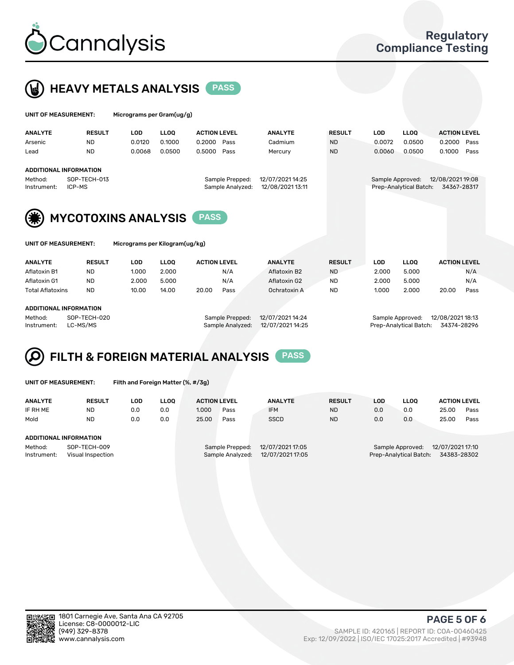



| UNIT OF MEASUREMENT:                                    |                            | Micrograms per Gram(ug/g)      |             |                                     |                                      |               |            |                                            |                                 |
|---------------------------------------------------------|----------------------------|--------------------------------|-------------|-------------------------------------|--------------------------------------|---------------|------------|--------------------------------------------|---------------------------------|
| <b>ANALYTE</b>                                          | <b>RESULT</b>              | <b>LOD</b>                     | <b>LLOO</b> | <b>ACTION LEVEL</b>                 | <b>ANALYTE</b>                       | <b>RESULT</b> | <b>LOD</b> | LLOO <sup>1</sup>                          | <b>ACTION LEVEL</b>             |
| Arsenic                                                 | <b>ND</b>                  | 0.0120                         | 0.1000      | 0.2000<br>Pass                      | Cadmium                              | <b>ND</b>     | 0.0072     | 0.0500                                     | 0.2000<br>Pass                  |
| Lead                                                    | <b>ND</b>                  | 0.0068                         | 0.0500      | 0.5000<br>Pass                      | Mercury                              | <b>ND</b>     | 0.0060     | 0.0500                                     | 0.1000<br>Pass                  |
| <b>ADDITIONAL INFORMATION</b><br>Method:<br>Instrument: | SOP-TECH-013<br>ICP-MS     |                                |             | Sample Prepped:<br>Sample Analyzed: | 12/07/2021 14:25<br>12/08/2021 13:11 |               |            | Sample Approved:<br>Prep-Analytical Batch: | 12/08/2021 19:08<br>34367-28317 |
|                                                         | <b>MYCOTOXINS ANALYSIS</b> |                                |             | <b>PASS</b>                         |                                      |               |            |                                            |                                 |
| UNIT OF MEASUREMENT:                                    |                            | Micrograms per Kilogram(ug/kg) |             |                                     |                                      |               |            |                                            |                                 |
| <b>ANALYTE</b>                                          | <b>RESULT</b>              | LOD                            | <b>LLOO</b> | <b>ACTION LEVEL</b>                 | <b>ANALYTE</b>                       | <b>RESULT</b> | <b>LOD</b> | <b>LLOO</b>                                | <b>ACTION LEVEL</b>             |

| Aflatoxin B1            | <b>ND</b> | 1.000 | 2.000           |                  | N/A  | Aflatoxin B2 | <b>ND</b>        | 2.000            | 5.000 |       | N/A  |
|-------------------------|-----------|-------|-----------------|------------------|------|--------------|------------------|------------------|-------|-------|------|
| Aflatoxin G1            | <b>ND</b> | 2.000 | 5.000           |                  | N/A  | Aflatoxin G2 | <b>ND</b>        | 2.000            | 5.000 |       | N/A  |
| <b>Total Aflatoxins</b> | <b>ND</b> | 10.00 | 14.00           | 20.00            | Pass | Ochratoxin A | <b>ND</b>        | 1.000            | 2.000 | 20.00 | Pass |
|                         |           |       |                 |                  |      |              |                  |                  |       |       |      |
| ADDITIONAL INFORMATION  |           |       |                 |                  |      |              |                  |                  |       |       |      |
| SOP-TECH-020<br>Method: |           |       | Sample Prepped: | 12/07/2021 14:24 |      |              | Sample Approved: | 12/08/2021 18:13 |       |       |      |

Instrument: LC-MS/MS Sample Analyzed: 12/07/2021 14:25 Prep-Analytical Batch: 34374-28296

#### FILTH & FOREIGN MATERIAL ANALYSIS PASS Q

UNIT OF MEASUREMENT: Filth and Foreign Matter (%, #/3g)

| <b>ANALYTE</b>                                                                        | <b>RESULT</b> | LOD | <b>LLOO</b> | <b>ACTION LEVEL</b> |                                     | <b>ANALYTE</b>                       | <b>RESULT</b> | LOD | <b>LLOO</b>                                | <b>ACTION LEVEL</b>             |      |
|---------------------------------------------------------------------------------------|---------------|-----|-------------|---------------------|-------------------------------------|--------------------------------------|---------------|-----|--------------------------------------------|---------------------------------|------|
| IF RH ME                                                                              | <b>ND</b>     | 0.0 | 0.0         | 1.000               | Pass                                | <b>IFM</b>                           | <b>ND</b>     | 0.0 | 0.0                                        | 25.00                           | Pass |
| Mold                                                                                  | <b>ND</b>     | 0.0 | 0.0         | 25.00               | Pass                                | <b>SSCD</b>                          | <b>ND</b>     | 0.0 | 0.0                                        | 25.00                           | Pass |
| ADDITIONAL INFORMATION<br>SOP-TECH-009<br>Method:<br>Instrument:<br>Visual Inspection |               |     |             |                     | Sample Prepped:<br>Sample Analyzed: | 12/07/2021 17:05<br>12/07/2021 17:05 |               |     | Sample Approved:<br>Prep-Analytical Batch: | 12/07/2021 17:10<br>34383-28302 |      |